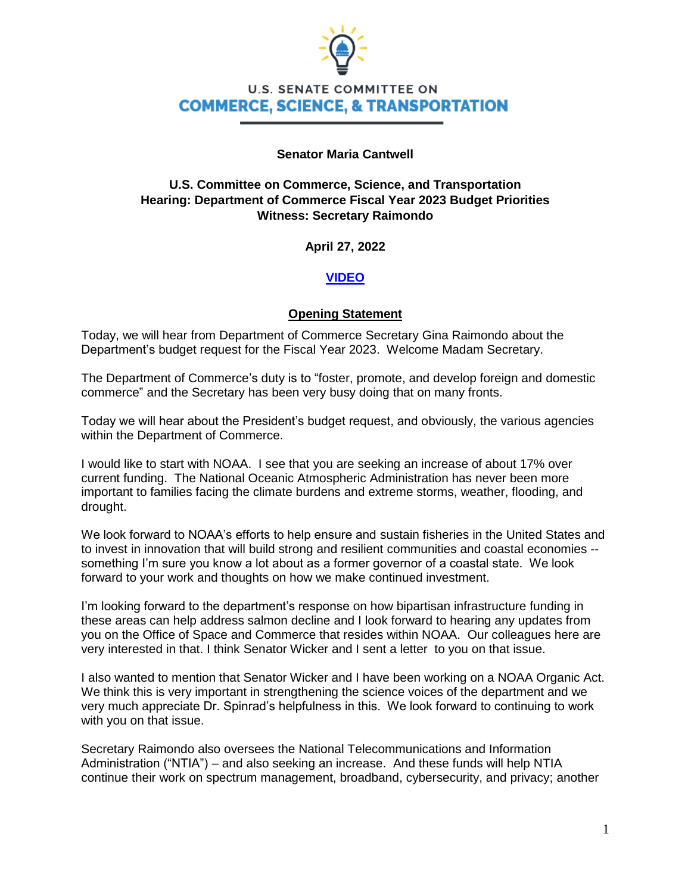

# **U.S. SENATE COMMITTEE ON COMMERCE, SCIENCE, & TRANSPORTATION**

### **Senator Maria Cantwell**

# **U.S. Committee on Commerce, Science, and Transportation Hearing: Department of Commerce Fiscal Year 2023 Budget Priorities Witness: Secretary Raimondo**

**April 27, 2022**

# **[VIDEO](https://www.youtube.com/watch?v=5OpX9GauXKw)**

### **Opening Statement**

Today, we will hear from Department of Commerce Secretary Gina Raimondo about the Department's budget request for the Fiscal Year 2023. Welcome Madam Secretary.

The Department of Commerce's duty is to "foster, promote, and develop foreign and domestic commerce" and the Secretary has been very busy doing that on many fronts.

Today we will hear about the President's budget request, and obviously, the various agencies within the Department of Commerce.

I would like to start with NOAA. I see that you are seeking an increase of about 17% over current funding. The National Oceanic Atmospheric Administration has never been more important to families facing the climate burdens and extreme storms, weather, flooding, and drought.

We look forward to NOAA's efforts to help ensure and sustain fisheries in the United States and to invest in innovation that will build strong and resilient communities and coastal economies - something I'm sure you know a lot about as a former governor of a coastal state. We look forward to your work and thoughts on how we make continued investment.

I'm looking forward to the department's response on how bipartisan infrastructure funding in these areas can help address salmon decline and I look forward to hearing any updates from you on the Office of Space and Commerce that resides within NOAA. Our colleagues here are very interested in that. I think Senator Wicker and I sent a letter to you on that issue.

I also wanted to mention that Senator Wicker and I have been working on a NOAA Organic Act. We think this is very important in strengthening the science voices of the department and we very much appreciate Dr. Spinrad's helpfulness in this. We look forward to continuing to work with you on that issue.

Secretary Raimondo also oversees the National Telecommunications and Information Administration ("NTIA") – and also seeking an increase. And these funds will help NTIA continue their work on spectrum management, broadband, cybersecurity, and privacy; another